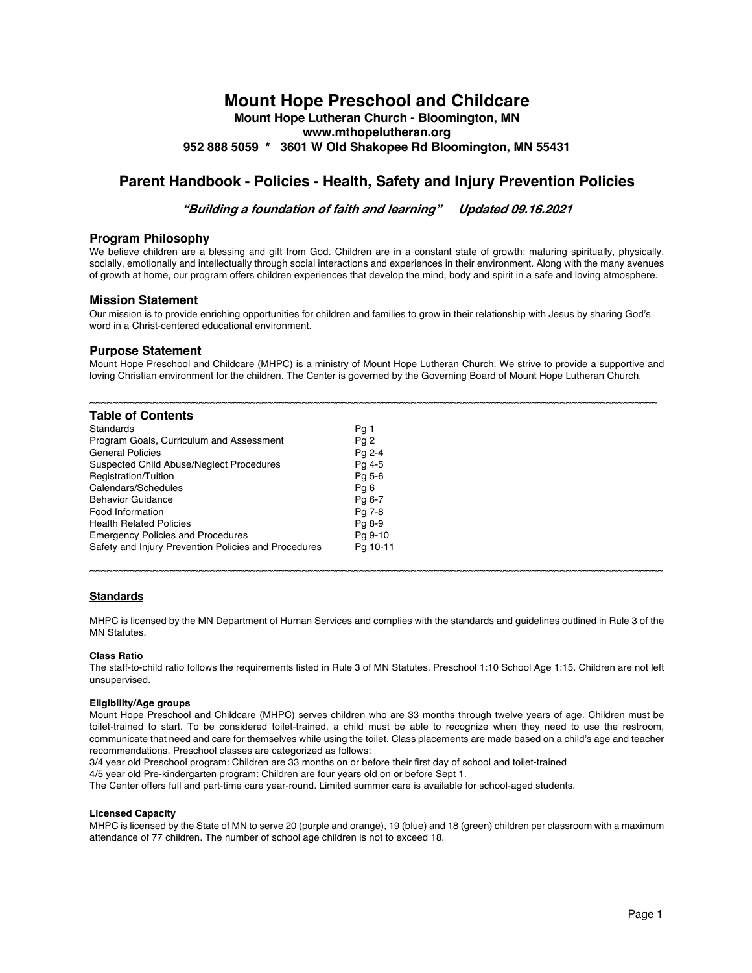# **Mount Hope Preschool and Childcare**

**Mount Hope Lutheran Church - Bloomington, MN www.mthopelutheran.org 952 888 5059 \* 3601 W Old Shakopee Rd Bloomington, MN 55431**

# **Parent Handbook - Policies - Health, Safety and Injury Prevention Policies**

**"Building <sup>a</sup> foundation of faith and learning" Updated 09.16.2021**

# **Program Philosophy**

We believe children are a blessing and gift from God. Children are in a constant state of growth: maturing spiritually, physically, socially, emotionally and intellectually through social interactions and experiences in their environment. Along with the many avenues of growth at home, our program offers children experiences that develop the mind, body and spirit in a safe and loving atmosphere.

# **Mission Statement**

Our mission is to provide enriching opportunities for children and families to grow in their relationship with Jesus by sharing God's word in a Christ-centered educational environment.

# **Purpose Statement**

Mount Hope Preschool and Childcare (MHPC) is a ministry of Mount Hope Lutheran Church. We strive to provide a supportive and loving Christian environment for the children. The Center is governed by the Governing Board of Mount Hope Lutheran Church.

| <b>Table of Contents</b>                             |          |
|------------------------------------------------------|----------|
| Standards                                            | Pg 1     |
| Program Goals, Curriculum and Assessment             | Pq 2     |
| <b>General Policies</b>                              | Pa 2-4   |
| Suspected Child Abuse/Neglect Procedures             | Pg 4-5   |
| Registration/Tuition                                 | Pg 5-6   |
| Calendars/Schedules                                  | Pq 6     |
| <b>Behavior Guidance</b>                             | Pg 6-7   |
| Food Information                                     | Pg 7-8   |
| <b>Health Related Policies</b>                       | Pg 8-9   |
| <b>Emergency Policies and Procedures</b>             | Pg 9-10  |
| Safety and Injury Prevention Policies and Procedures | Pa 10-11 |

# **Standards**

MHPC is licensed by the MN Department of Human Services and complies with the standards and guidelines outlined in Rule 3 of the MN Statutes.

**~~~~~~~~~~~~~~~~~~~~~~~~~~~~~~~~~~~~~~~~~~~~~~~~~~~~~~~~~~~~~~~~~~~~~~~~~~~~~~~~~~~~~~~~~~~~~~~~~~~~**

# **Class Ratio**

The staff-to-child ratio follows the requirements listed in Rule 3 of MN Statutes. Preschool 1:10 School Age 1:15. Children are not left unsupervised.

# **Eligibility/Age groups**

Mount Hope Preschool and Childcare (MHPC) serves children who are 33 months through twelve years of age. Children must be toilet-trained to start. To be considered toilet-trained, a child must be able to recognize when they need to use the restroom, communicate that need and care for themselves while using the toilet. Class placements are made based on a child's age and teacher recommendations. Preschool classes are categorized as follows:

3/4 year old Preschool program: Children are 33 months on or before their first day of school and toilet-trained

4/5 year old Pre-kindergarten program: Children are four years old on or before Sept 1.

The Center offers full and part-time care year-round. Limited summer care is available for school-aged students.

#### **Licensed Capacity**

MHPC is licensed by the State of MN to serve 20 (purple and orange), 19 (blue) and 18 (green) children per classroom with a maximum attendance of 77 children. The number of school age children is not to exceed 18.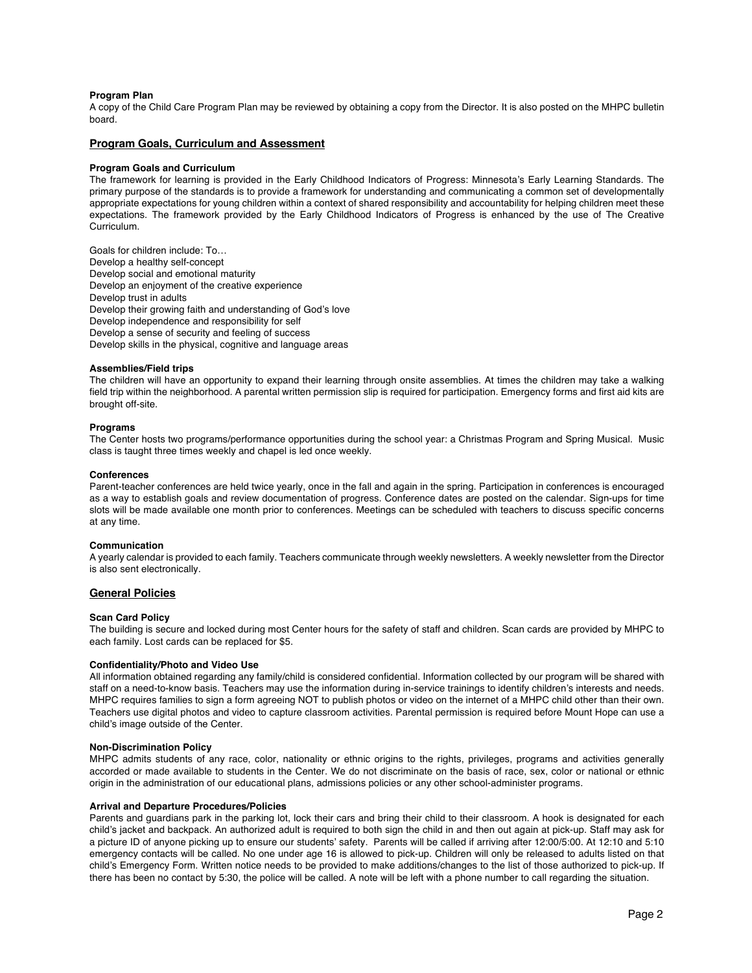# **Program Plan**

A copy of the Child Care Program Plan may be reviewed by obtaining a copy from the Director. It is also posted on the MHPC bulletin board.

# **Program Goals, Curriculum and Assessment**

### **Program Goals and Curriculum**

The framework for learning is provided in the Early Childhood Indicators of Progress: Minnesota's Early Learning Standards. The primary purpose of the standards is to provide a framework for understanding and communicating a common set of developmentally appropriate expectations for young children within a context of shared responsibility and accountability for helping children meet these expectations. The framework provided by the Early Childhood Indicators of Progress is enhanced by the use of The Creative Curriculum.

Goals for children include: To… Develop a healthy self-concept Develop social and emotional maturity Develop an enjoyment of the creative experience Develop trust in adults Develop their growing faith and understanding of God's love Develop independence and responsibility for self Develop a sense of security and feeling of success Develop skills in the physical, cognitive and language areas

#### **Assemblies/Field trips**

The children will have an opportunity to expand their learning through onsite assemblies. At times the children may take a walking field trip within the neighborhood. A parental written permission slip is required for participation. Emergency forms and first aid kits are brought off-site.

#### **Programs**

The Center hosts two programs/performance opportunities during the school year: a Christmas Program and Spring Musical. Music class is taught three times weekly and chapel is led once weekly.

## **Conferences**

Parent-teacher conferences are held twice yearly, once in the fall and again in the spring. Participation in conferences is encouraged as a way to establish goals and review documentation of progress. Conference dates are posted on the calendar. Sign-ups for time slots will be made available one month prior to conferences. Meetings can be scheduled with teachers to discuss specific concerns at any time.

## **Communication**

A yearly calendar is provided to each family. Teachers communicate through weekly newsletters. A weekly newsletter from the Director is also sent electronically.

# **General Policies**

#### **Scan Card Policy**

The building is secure and locked during most Center hours for the safety of staff and children. Scan cards are provided by MHPC to each family. Lost cards can be replaced for \$5.

#### **Confidentiality/Photo and Video Use**

All information obtained regarding any family/child is considered confidential. Information collected by our program will be shared with staff on a need-to-know basis. Teachers may use the information during in-service trainings to identify children's interests and needs. MHPC requires families to sign a form agreeing NOT to publish photos or video on the internet of a MHPC child other than their own. Teachers use digital photos and video to capture classroom activities. Parental permission is required before Mount Hope can use a child's image outside of the Center.

#### **Non-Discrimination Policy**

MHPC admits students of any race, color, nationality or ethnic origins to the rights, privileges, programs and activities generally accorded or made available to students in the Center. We do not discriminate on the basis of race, sex, color or national or ethnic origin in the administration of our educational plans, admissions policies or any other school-administer programs.

#### **Arrival and Departure Procedures/Policies**

Parents and guardians park in the parking lot, lock their cars and bring their child to their classroom. A hook is designated for each child's jacket and backpack. An authorized adult is required to both sign the child in and then out again at pick-up. Staff may ask for a picture ID of anyone picking up to ensure our students' safety. Parents will be called if arriving after 12:00/5:00. At 12:10 and 5:10 emergency contacts will be called. No one under age 16 is allowed to pick-up. Children will only be released to adults listed on that child's Emergency Form. Written notice needs to be provided to make additions/changes to the list of those authorized to pick-up. If there has been no contact by 5:30, the police will be called. A note will be left with a phone number to call regarding the situation.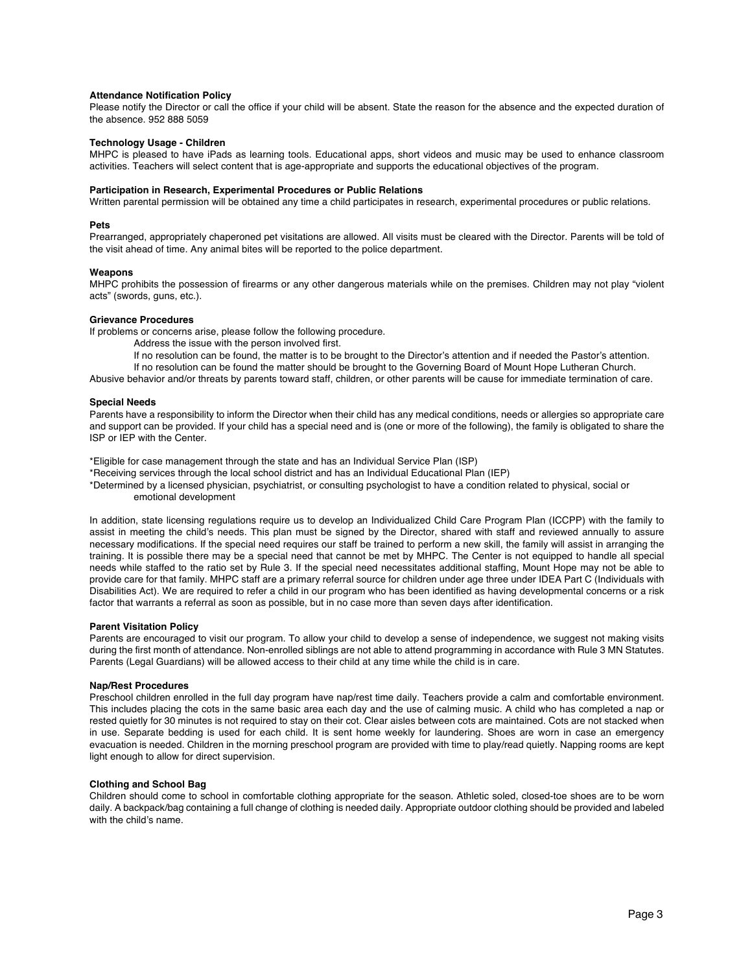### **Attendance Notification Policy**

Please notify the Director or call the office if your child will be absent. State the reason for the absence and the expected duration of the absence. 952 888 5059

# **Technology Usage - Children**

MHPC is pleased to have iPads as learning tools. Educational apps, short videos and music may be used to enhance classroom activities. Teachers will select content that is age-appropriate and supports the educational objectives of the program.

## **Participation in Research, Experimental Procedures or Public Relations**

Written parental permission will be obtained any time a child participates in research, experimental procedures or public relations.

## **Pets**

Prearranged, appropriately chaperoned pet visitations are allowed. All visits must be cleared with the Director. Parents will be told of the visit ahead of time. Any animal bites will be reported to the police department.

#### **Weapons**

MHPC prohibits the possession of firearms or any other dangerous materials while on the premises. Children may not play "violent acts" (swords, guns, etc.).

# **Grievance Procedures**

If problems or concerns arise, please follow the following procedure.

- Address the issue with the person involved first.
- If no resolution can be found, the matter is to be brought to the Director's attention and if needed the Pastor's attention.

If no resolution can be found the matter should be brought to the Governing Board of Mount Hope Lutheran Church.

Abusive behavior and/or threats by parents toward staff, children, or other parents will be cause for immediate termination of care.

# **Special Needs**

Parents have a responsibility to inform the Director when their child has any medical conditions, needs or allergies so appropriate care and support can be provided. If your child has a special need and is (one or more of the following), the family is obligated to share the ISP or IEP with the Center.

\*Eligible for case management through the state and has an Individual Service Plan (ISP)

- \*Receiving services through the local school district and has an Individual Educational Plan (IEP)
- \*Determined by a licensed physician, psychiatrist, or consulting psychologist to have a condition related to physical, social or emotional development

In addition, state licensing regulations require us to develop an Individualized Child Care Program Plan (ICCPP) with the family to assist in meeting the child's needs. This plan must be signed by the Director, shared with staff and reviewed annually to assure necessary modifications. If the special need requires our staff be trained to perform a new skill, the family will assist in arranging the training. It is possible there may be a special need that cannot be met by MHPC. The Center is not equipped to handle all special needs while staffed to the ratio set by Rule 3. If the special need necessitates additional staffing, Mount Hope may not be able to provide care for that family. MHPC staff are a primary referral source for children under age three under IDEA Part C (Individuals with Disabilities Act). We are required to refer a child in our program who has been identified as having developmental concerns or a risk factor that warrants a referral as soon as possible, but in no case more than seven days after identification.

# **Parent Visitation Policy**

Parents are encouraged to visit our program. To allow your child to develop a sense of independence, we suggest not making visits during the first month of attendance. Non-enrolled siblings are not able to attend programming in accordance with Rule 3 MN Statutes. Parents (Legal Guardians) will be allowed access to their child at any time while the child is in care.

# **Nap/Rest Procedures**

Preschool children enrolled in the full day program have nap/rest time daily. Teachers provide a calm and comfortable environment. This includes placing the cots in the same basic area each day and the use of calming music. A child who has completed a nap or rested quietly for 30 minutes is not required to stay on their cot. Clear aisles between cots are maintained. Cots are not stacked when in use. Separate bedding is used for each child. It is sent home weekly for laundering. Shoes are worn in case an emergency evacuation is needed. Children in the morning preschool program are provided with time to play/read quietly. Napping rooms are kept light enough to allow for direct supervision.

# **Clothing and School Bag**

Children should come to school in comfortable clothing appropriate for the season. Athletic soled, closed-toe shoes are to be worn daily. A backpack/bag containing a full change of clothing is needed daily. Appropriate outdoor clothing should be provided and labeled with the child's name.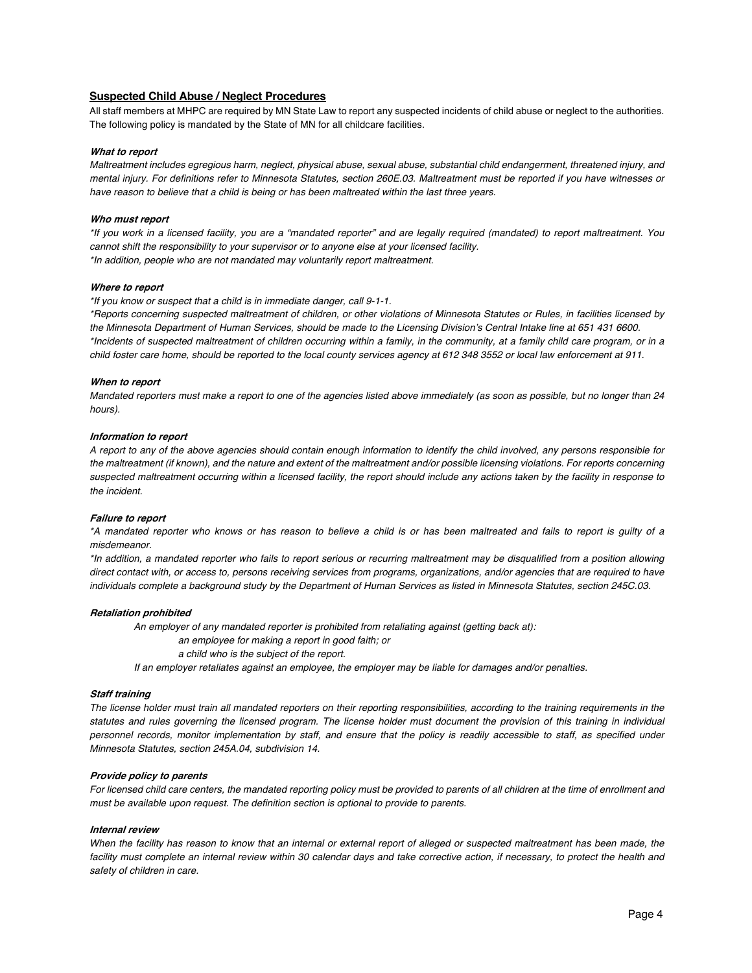# **Suspected Child Abuse / Neglect Procedures**

All staff members at MHPC are required by MN State Law to report any suspected incidents of child abuse or neglect to the authorities. The following policy is mandated by the State of MN for all childcare facilities.

# **What to report**

Maltreatment includes egregious harm, neglect, physical abuse, sexual abuse, substantial child endangerment, threatened injury, and mental injury. For definitions refer to Minnesota Statutes, section 260E.03. Maltreatment must be reported if you have witnesses or *have reason to believe that a child is being or has been maltreated within the last three years.*

# **Who must report**

\*If you work in a licensed facility, you are a "mandated reporter" and are legally required (mandated) to report maltreatment. You *cannot shift the responsibility to your supervisor or to anyone else at your licensed facility. \*In addition, people who are not mandated may voluntarily report maltreatment.*

#### **Where to report**

*\*If you know or suspect that a child is in immediate danger, call 9-1-1.*

\*Reports concerning suspected maltreatment of children, or other violations of Minnesota Statutes or Rules, in facilities licensed by the Minnesota Department of Human Services, should be made to the Licensing Division's Central Intake line at 651 431 6600. \*Incidents of suspected maltreatment of children occurring within a family, in the community, at a family child care program, or in a child foster care home, should be reported to the local county services agency at 612 348 3552 or local law enforcement at 911.

# **When to report**

Mandated reporters must make a report to one of the agencies listed above immediately (as soon as possible, but no longer than 24 *hours).*

#### **Information to report**

A report to any of the above agencies should contain enough information to identify the child involved, any persons responsible for the maltreatment (if known), and the nature and extent of the maltreatment and/or possible licensing violations. For reports concerning suspected maltreatment occurring within a licensed facility, the report should include any actions taken by the facility in response to *the incident.*

#### **Failure to report**

\*A mandated reporter who knows or has reason to believe a child is or has been maltreated and fails to report is quilty of a *misdemeanor.*

\*In addition, a mandated reporter who fails to report serious or recurring maltreatment may be disqualified from a position allowing direct contact with, or access to, persons receiving services from programs, organizations, and/or agencies that are required to have individuals complete a background study by the Department of Human Services as listed in Minnesota Statutes, section 245C.03.

#### **Retaliation prohibited**

*An employer of any mandated reporter is prohibited from retaliating against (getting back at):*

*an employee for making a report in good faith; or*

*a child who is the subject of the report.*

*If an employer retaliates against an employee, the employer may be liable for damages and/or penalties.*

## **Staff training**

The license holder must train all mandated reporters on their reporting responsibilities, according to the training requirements in the statutes and rules governing the licensed program. The license holder must document the provision of this training in individual personnel records, monitor implementation by staff, and ensure that the policy is readily accessible to staff, as specified under *Minnesota Statutes, section 245A.04, subdivision 14.*

#### **Provide policy to parents**

For licensed child care centers, the mandated reporting policy must be provided to parents of all children at the time of enrollment and *must be available upon request. The definition section is optional to provide to parents.*

### **Internal review**

When the facility has reason to know that an internal or external report of alleged or suspected maltreatment has been made, the facility must complete an internal review within 30 calendar days and take corrective action, if necessary, to protect the health and *safety of children in care.*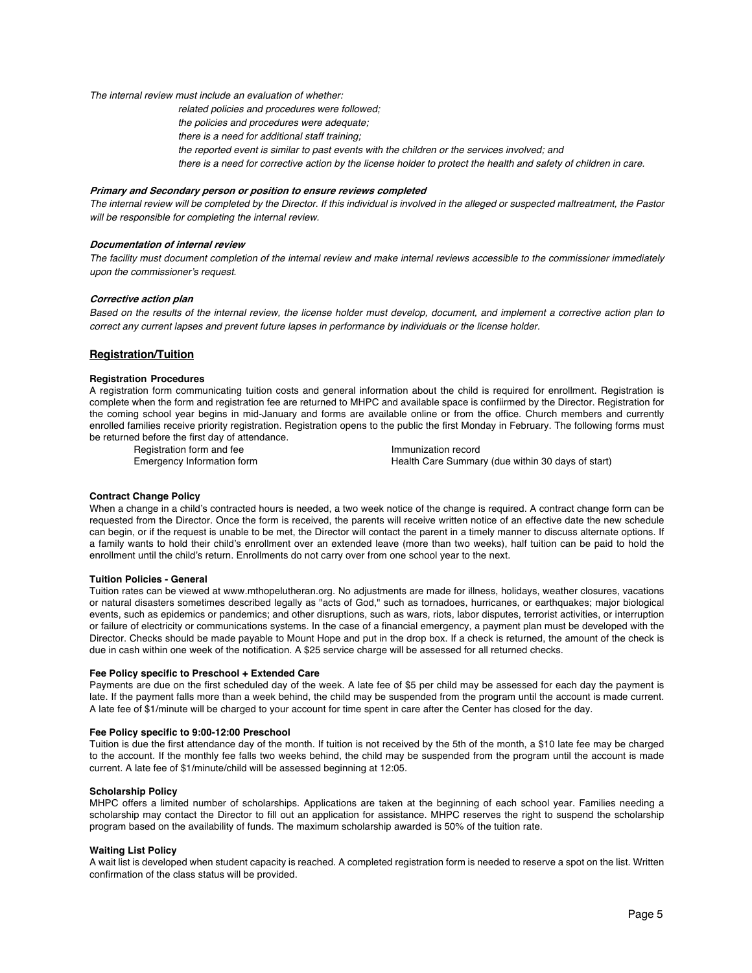*The internal review must include an evaluation of whether:*

*related policies and procedures were followed;*

- *the policies and procedures were adequate;*
- *there is a need for additional staff training;*
- *the reported event is similar to past events with the children or the services involved; and*
- there is a need for corrective action by the license holder to protect the health and safety of children in care.

#### **Primary and Secondary person or position to ensure reviews completed**

The internal review will be completed by the Director. If this individual is involved in the alleged or suspected maltreatment, the Pastor *will be responsible for completing the internal review.*

# **Documentation of internal review**

The facility must document completion of the internal review and make internal reviews accessible to the commissioner immediately *upon the commissioner's request.*

## **Corrective action plan**

Based on the results of the internal review, the license holder must develop, document, and implement a corrective action plan to *correct any current lapses and prevent future lapses in performance by individuals or the license holder.*

# **Registration/Tuition**

#### **Registration Procedures**

A registration form communicating tuition costs and general information about the child is required for enrollment. Registration is complete when the form and registration fee are returned to MHPC and available space is confiirmed by the Director. Registration for the coming school year begins in mid-January and forms are available online or from the office. Church members and currently enrolled families receive priority registration. Registration opens to the public the first Monday in February. The following forms must be returned before the first day of attendance.

Registration form and fee Emergency Information form

Immunization record Health Care Summary (due within 30 days of start)

## **Contract Change Policy**

When a change in a child's contracted hours is needed, a two week notice of the change is required. A contract change form can be requested from the Director. Once the form is received, the parents will receive written notice of an effective date the new schedule can begin, or if the request is unable to be met, the Director will contact the parent in a timely manner to discuss alternate options. If a family wants to hold their child's enrollment over an extended leave (more than two weeks), half tuition can be paid to hold the enrollment until the child's return. Enrollments do not carry over from one school year to the next.

## **Tuition Policies - General**

Tuition rates can be viewed at www.mthopelutheran.org. No adjustments are made for illness, holidays, weather closures, vacations or natural disasters sometimes described legally as "acts of God," such as tornadoes, hurricanes, or earthquakes; major biological events, such as epidemics or pandemics; and other disruptions, such as wars, riots, labor disputes, terrorist activities, or interruption or failure of electricity or communications systems. In the case of a financial emergency, a payment plan must be developed with the Director. Checks should be made payable to Mount Hope and put in the drop box. If a check is returned, the amount of the check is due in cash within one week of the notification. A \$25 service charge will be assessed for all returned checks.

#### **Fee Policy specific to Preschool + Extended Care**

Payments are due on the first scheduled day of the week. A late fee of \$5 per child may be assessed for each day the payment is late. If the payment falls more than a week behind, the child may be suspended from the program until the account is made current. A late fee of \$1/minute will be charged to your account for time spent in care after the Center has closed for the day.

#### **Fee Policy specific to 9:00-12:00 Preschool**

Tuition is due the first attendance day of the month. If tuition is not received by the 5th of the month, a \$10 late fee may be charged to the account. If the monthly fee falls two weeks behind, the child may be suspended from the program until the account is made current. A late fee of \$1/minute/child will be assessed beginning at 12:05.

#### **Scholarship Policy**

MHPC offers a limited number of scholarships. Applications are taken at the beginning of each school year. Families needing a scholarship may contact the Director to fill out an application for assistance. MHPC reserves the right to suspend the scholarship program based on the availability of funds. The maximum scholarship awarded is 50% of the tuition rate.

## **Waiting List Policy**

A wait list is developed when student capacity is reached. A completed registration form is needed to reserve a spot on the list. Written confirmation of the class status will be provided.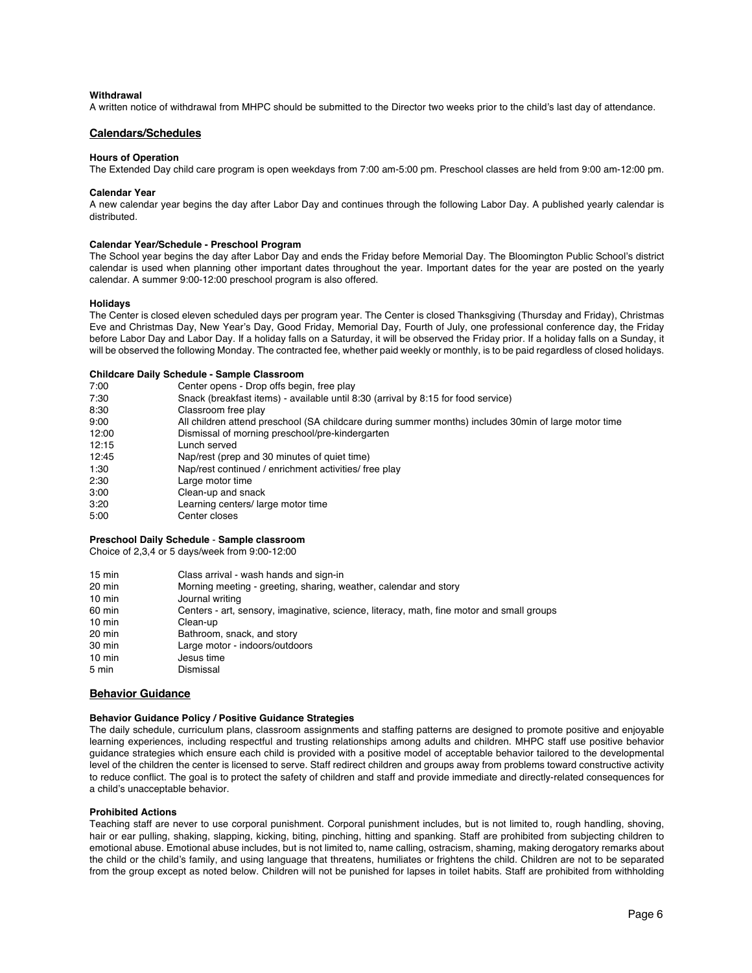#### **Withdrawal**

A written notice of withdrawal from MHPC should be submitted to the Director two weeks prior to the child's last day of attendance.

# **Calendars/Schedules**

## **Hours of Operation**

The Extended Day child care program is open weekdays from 7:00 am-5:00 pm. Preschool classes are held from 9:00 am-12:00 pm.

## **Calendar Year**

A new calendar year begins the day after Labor Day and continues through the following Labor Day. A published yearly calendar is distributed.

### **Calendar Year/Schedule - Preschool Program**

The School year begins the day after Labor Day and ends the Friday before Memorial Day. The Bloomington Public School's district calendar is used when planning other important dates throughout the year. Important dates for the year are posted on the yearly calendar. A summer 9:00-12:00 preschool program is also offered.

# **Holidays**

The Center is closed eleven scheduled days per program year. The Center is closed Thanksgiving (Thursday and Friday), Christmas Eve and Christmas Day, New Year's Day, Good Friday, Memorial Day, Fourth of July, one professional conference day, the Friday before Labor Day and Labor Day. If a holiday falls on a Saturday, it will be observed the Friday prior. If a holiday falls on a Sunday, it will be observed the following Monday. The contracted fee, whether paid weekly or monthly, is to be paid regardless of closed holidays.

#### **Childcare Daily Schedule - Sample Classroom**

| 7:00  | Center opens - Drop offs begin, free play                                                            |
|-------|------------------------------------------------------------------------------------------------------|
| 7:30  | Snack (breakfast items) - available until 8:30 (arrival by 8:15 for food service)                    |
| 8:30  | Classroom free play                                                                                  |
| 9:00  | All children attend preschool (SA childcare during summer months) includes 30min of large motor time |
| 12:00 | Dismissal of morning preschool/pre-kindergarten                                                      |
| 12:15 | Lunch served                                                                                         |
| 12:45 | Nap/rest (prep and 30 minutes of quiet time)                                                         |
| 1:30  | Nap/rest continued / enrichment activities/ free play                                                |
| 2:30  | Large motor time                                                                                     |
| 3:00  | Clean-up and snack                                                                                   |
| 3:20  | Learning centers/ large motor time                                                                   |
| 5:00  | Center closes                                                                                        |

# **Preschool Daily Schedule** - **Sample classroom**

Choice of 2,3,4 or 5 days/week from 9:00-12:00

| $15 \text{ min}$ | Class arrival - wash hands and sign-in                                                    |
|------------------|-------------------------------------------------------------------------------------------|
| 20 min           | Morning meeting - greeting, sharing, weather, calendar and story                          |
| $10 \text{ min}$ | Journal writing                                                                           |
| 60 min           | Centers - art, sensory, imaginative, science, literacy, math, fine motor and small groups |
| $10 \text{ min}$ | Clean-up                                                                                  |
| 20 min           | Bathroom, snack, and story                                                                |
| 30 min           | Large motor - indoors/outdoors                                                            |
| $10 \text{ min}$ | Jesus time                                                                                |
| 5 min            | Dismissal                                                                                 |

#### **Behavior Guidance**

# **Behavior Guidance Policy / Positive Guidance Strategies**

The daily schedule, curriculum plans, classroom assignments and staffing patterns are designed to promote positive and enjoyable learning experiences, including respectful and trusting relationships among adults and children. MHPC staff use positive behavior guidance strategies which ensure each child is provided with a positive model of acceptable behavior tailored to the developmental level of the children the center is licensed to serve. Staff redirect children and groups away from problems toward constructive activity to reduce conflict. The goal is to protect the safety of children and staff and provide immediate and directly-related consequences for a child's unacceptable behavior.

# **Prohibited Actions**

Teaching staff are never to use corporal punishment. Corporal punishment includes, but is not limited to, rough handling, shoving, hair or ear pulling, shaking, slapping, kicking, biting, pinching, hitting and spanking. Staff are prohibited from subjecting children to emotional abuse. Emotional abuse includes, but is not limited to, name calling, ostracism, shaming, making derogatory remarks about the child or the child's family, and using language that threatens, humiliates or frightens the child. Children are not to be separated from the group except as noted below. Children will not be punished for lapses in toilet habits. Staff are prohibited from withholding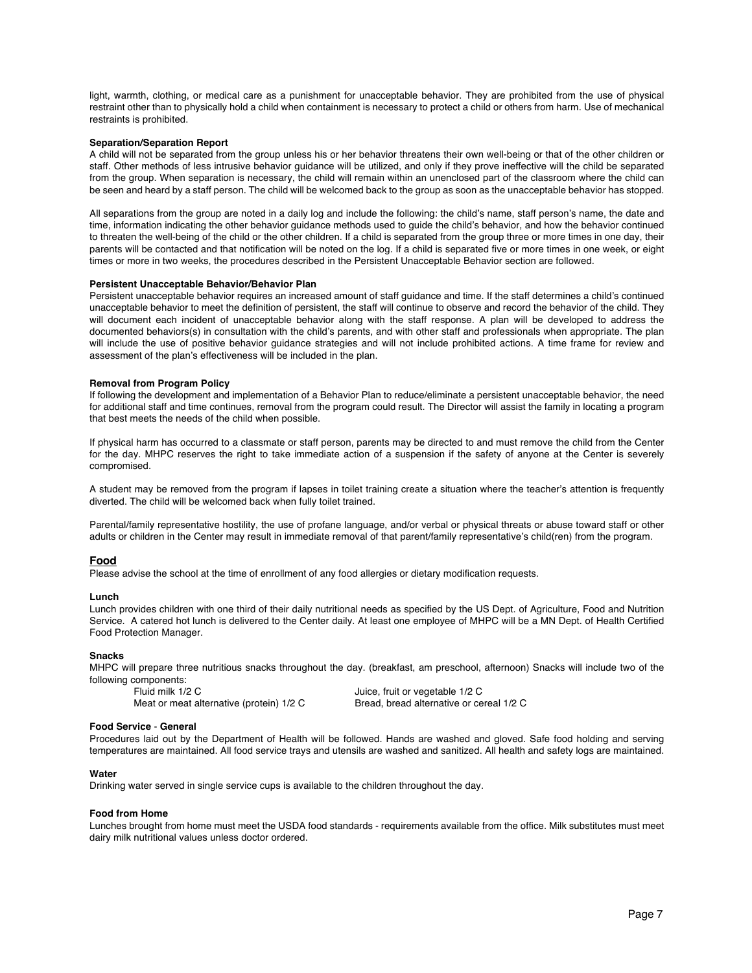light, warmth, clothing, or medical care as a punishment for unacceptable behavior. They are prohibited from the use of physical restraint other than to physically hold a child when containment is necessary to protect a child or others from harm. Use of mechanical restraints is prohibited.

#### **Separation/Separation Report**

A child will not be separated from the group unless his or her behavior threatens their own well-being or that of the other children or staff. Other methods of less intrusive behavior guidance will be utilized, and only if they prove ineffective will the child be separated from the group. When separation is necessary, the child will remain within an unenclosed part of the classroom where the child can be seen and heard by a staff person. The child will be welcomed back to the group as soon as the unacceptable behavior has stopped.

All separations from the group are noted in a daily log and include the following: the child's name, staff person's name, the date and time, information indicating the other behavior guidance methods used to guide the child's behavior, and how the behavior continued to threaten the well-being of the child or the other children. If a child is separated from the group three or more times in one day, their parents will be contacted and that notification will be noted on the log. If a child is separated five or more times in one week, or eight times or more in two weeks, the procedures described in the Persistent Unacceptable Behavior section are followed.

#### **Persistent Unacceptable Behavior/Behavior Plan**

Persistent unacceptable behavior requires an increased amount of staff guidance and time. If the staff determines a child's continued unacceptable behavior to meet the definition of persistent, the staff will continue to observe and record the behavior of the child. They will document each incident of unacceptable behavior along with the staff response. A plan will be developed to address the documented behaviors(s) in consultation with the child's parents, and with other staff and professionals when appropriate. The plan will include the use of positive behavior guidance strategies and will not include prohibited actions. A time frame for review and assessment of the plan's effectiveness will be included in the plan.

#### **Removal from Program Policy**

If following the development and implementation of a Behavior Plan to reduce/eliminate a persistent unacceptable behavior, the need for additional staff and time continues, removal from the program could result. The Director will assist the family in locating a program that best meets the needs of the child when possible.

If physical harm has occurred to a classmate or staff person, parents may be directed to and must remove the child from the Center for the day. MHPC reserves the right to take immediate action of a suspension if the safety of anyone at the Center is severely compromised.

A student may be removed from the program if lapses in toilet training create a situation where the teacher's attention is frequently diverted. The child will be welcomed back when fully toilet trained.

Parental/family representative hostility, the use of profane language, and/or verbal or physical threats or abuse toward staff or other adults or children in the Center may result in immediate removal of that parent/family representative's child(ren) from the program.

## **Food**

Please advise the school at the time of enrollment of any food allergies or dietary modification requests.

#### **Lunch**

Lunch provides children with one third of their daily nutritional needs as specified by the US Dept. of Agriculture, Food and Nutrition Service. A catered hot lunch is delivered to the Center daily. At least one employee of MHPC will be a MN Dept. of Health Certified Food Protection Manager.

#### **Snacks**

MHPC will prepare three nutritious snacks throughout the day. (breakfast, am preschool, afternoon) Snacks will include two of the following components:

Fluid milk 1/2 C<br>
Uuice, fruit or vegetable 1/2 C Meat or meat alternative (protein) 1/2 C Bread, bread alternative or cereal 1/2 C

#### **Food Service** - **General**

Procedures laid out by the Department of Health will be followed. Hands are washed and gloved. Safe food holding and serving temperatures are maintained. All food service trays and utensils are washed and sanitized. All health and safety logs are maintained.

#### **Water**

Drinking water served in single service cups is available to the children throughout the day.

#### **Food from Home**

Lunches brought from home must meet the USDA food standards - requirements available from the office. Milk substitutes must meet dairy milk nutritional values unless doctor ordered.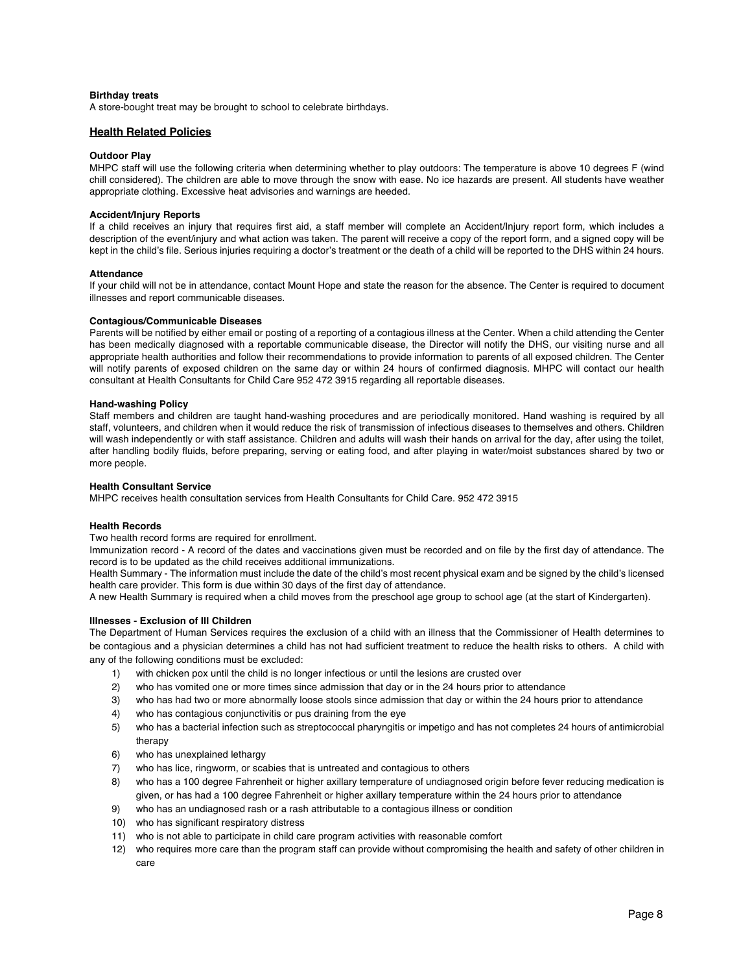### **Birthday treats**

A store-bought treat may be brought to school to celebrate birthdays.

# **Health Related Policies**

## **Outdoor Play**

MHPC staff will use the following criteria when determining whether to play outdoors: The temperature is above 10 degrees F (wind chill considered). The children are able to move through the snow with ease. No ice hazards are present. All students have weather appropriate clothing. Excessive heat advisories and warnings are heeded.

# **Accident/Injury Reports**

If a child receives an injury that requires first aid, a staff member will complete an Accident/Injury report form, which includes a description of the event/injury and what action was taken. The parent will receive a copy of the report form, and a signed copy will be kept in the child's file. Serious injuries requiring a doctor's treatment or the death of a child will be reported to the DHS within 24 hours.

#### **Attendance**

If your child will not be in attendance, contact Mount Hope and state the reason for the absence. The Center is required to document illnesses and report communicable diseases.

### **Contagious/Communicable Diseases**

Parents will be notified by either email or posting of a reporting of a contagious illness at the Center. When a child attending the Center has been medically diagnosed with a reportable communicable disease, the Director will notify the DHS, our visiting nurse and all appropriate health authorities and follow their recommendations to provide information to parents of all exposed children. The Center will notify parents of exposed children on the same day or within 24 hours of confirmed diagnosis. MHPC will contact our health consultant at Health Consultants for Child Care 952 472 3915 regarding all reportable diseases.

### **Hand-washing Policy**

Staff members and children are taught hand-washing procedures and are periodically monitored. Hand washing is required by all staff, volunteers, and children when it would reduce the risk of transmission of infectious diseases to themselves and others. Children will wash independently or with staff assistance. Children and adults will wash their hands on arrival for the day, after using the toilet, after handling bodily fluids, before preparing, serving or eating food, and after playing in water/moist substances shared by two or more people.

#### **Health Consultant Service**

MHPC receives health consultation services from Health Consultants for Child Care. 952 472 3915

# **Health Records**

Two health record forms are required for enrollment.

Immunization record - A record of the dates and vaccinations given must be recorded and on file by the first day of attendance. The record is to be updated as the child receives additional immunizations.

Health Summary - The information must include the date of the child's most recent physical exam and be signed by the child's licensed health care provider. This form is due within 30 days of the first day of attendance.

A new Health Summary is required when a child moves from the preschool age group to school age (at the start of Kindergarten).

# **Illnesses - Exclusion of Ill Children**

The Department of Human Services requires the exclusion of a child with an illness that the Commissioner of Health determines to be contagious and a physician determines a child has not had sufficient treatment to reduce the health risks to others. A child with any of the following conditions must be excluded:

- 1) with chicken pox until the child is no longer infectious or until the lesions are crusted over
- 2) who has vomited one or more times since admission that day or in the 24 hours prior to attendance
- 3) who has had two or more abnormally loose stools since admission that day or within the 24 hours prior to attendance
- 4) who has contagious conjunctivitis or pus draining from the eye
- 5) who has a bacterial infection such as streptococcal pharyngitis or impetigo and has not completes 24 hours of antimicrobial therapy
- 6) who has unexplained lethargy
- 7) who has lice, ringworm, or scabies that is untreated and contagious to others
- 8) who has a 100 degree Fahrenheit or higher axillary temperature of undiagnosed origin before fever reducing medication is given, or has had a 100 degree Fahrenheit or higher axillary temperature within the 24 hours prior to attendance
- 9) who has an undiagnosed rash or a rash attributable to a contagious illness or condition
- 10) who has significant respiratory distress
- 11) who is not able to participate in child care program activities with reasonable comfort
- 12) who requires more care than the program staff can provide without compromising the health and safety of other children in care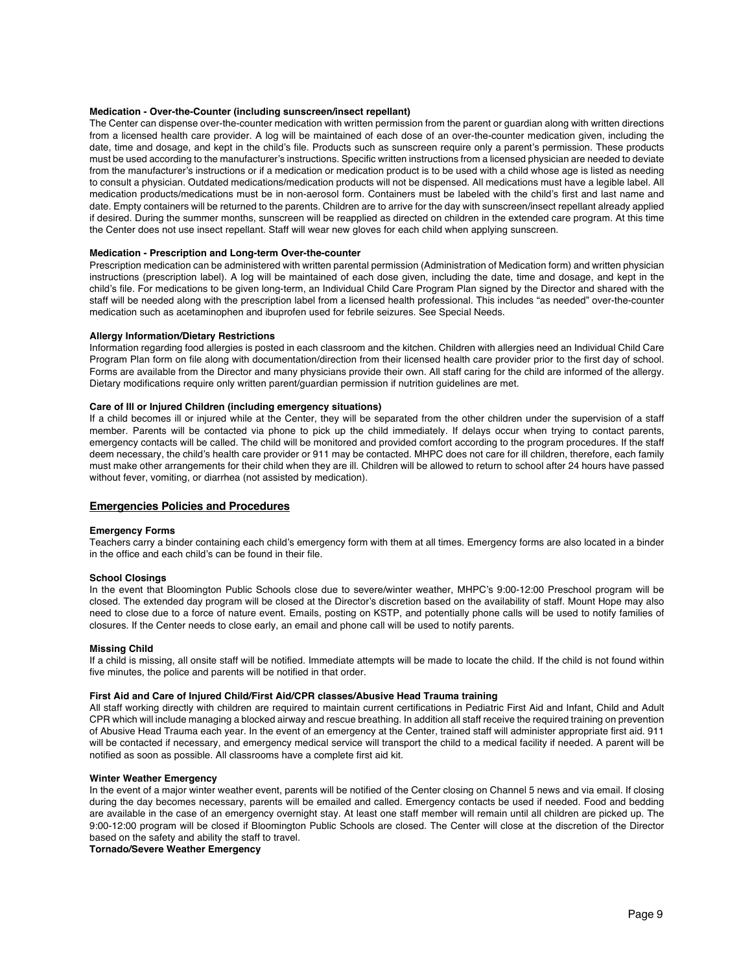# **Medication - Over-the-Counter (including sunscreen/insect repellant)**

The Center can dispense over-the-counter medication with written permission from the parent or guardian along with written directions from a licensed health care provider. A log will be maintained of each dose of an over-the-counter medication given, including the date, time and dosage, and kept in the child's file. Products such as sunscreen require only a parent's permission. These products must be used according to the manufacturer's instructions. Specific written instructions from a licensed physician are needed to deviate from the manufacturer's instructions or if a medication or medication product is to be used with a child whose age is listed as needing to consult a physician. Outdated medications/medication products will not be dispensed. All medications must have a legible label. All medication products/medications must be in non-aerosol form. Containers must be labeled with the child's first and last name and date. Empty containers will be returned to the parents. Children are to arrive for the day with sunscreen/insect repellant already applied if desired. During the summer months, sunscreen will be reapplied as directed on children in the extended care program. At this time the Center does not use insect repellant. Staff will wear new gloves for each child when applying sunscreen.

#### **Medication - Prescription and Long-term Over-the-counter**

Prescription medication can be administered with written parental permission (Administration of Medication form) and written physician instructions (prescription label). A log will be maintained of each dose given, including the date, time and dosage, and kept in the child's file. For medications to be given long-term, an Individual Child Care Program Plan signed by the Director and shared with the staff will be needed along with the prescription label from a licensed health professional. This includes "as needed" over-the-counter medication such as acetaminophen and ibuprofen used for febrile seizures. See Special Needs.

#### **Allergy Information/Dietary Restrictions**

Information regarding food allergies is posted in each classroom and the kitchen. Children with allergies need an Individual Child Care Program Plan form on file along with documentation/direction from their licensed health care provider prior to the first day of school. Forms are available from the Director and many physicians provide their own. All staff caring for the child are informed of the allergy. Dietary modifications require only written parent/guardian permission if nutrition guidelines are met.

#### **Care of Ill or Injured Children (including emergency situations)**

If a child becomes ill or injured while at the Center, they will be separated from the other children under the supervision of a staff member. Parents will be contacted via phone to pick up the child immediately. If delays occur when trying to contact parents, emergency contacts will be called. The child will be monitored and provided comfort according to the program procedures. If the staff deem necessary, the child's health care provider or 911 may be contacted. MHPC does not care for ill children, therefore, each family must make other arrangements for their child when they are ill. Children will be allowed to return to school after 24 hours have passed without fever, vomiting, or diarrhea (not assisted by medication).

# **Emergencies Policies and Procedures**

#### **Emergency Forms**

Teachers carry a binder containing each child's emergency form with them at all times. Emergency forms are also located in a binder in the office and each child's can be found in their file.

## **School Closings**

In the event that Bloomington Public Schools close due to severe/winter weather, MHPC's 9:00-12:00 Preschool program will be closed. The extended day program will be closed at the Director's discretion based on the availability of staff. Mount Hope may also need to close due to a force of nature event. Emails, posting on KSTP, and potentially phone calls will be used to notify families of closures. If the Center needs to close early, an email and phone call will be used to notify parents.

#### **Missing Child**

If a child is missing, all onsite staff will be notified. Immediate attempts will be made to locate the child. If the child is not found within five minutes, the police and parents will be notified in that order.

# **First Aid and Care of Injured Child/First Aid/CPR classes/Abusive Head Trauma training**

All staff working directly with children are required to maintain current certifications in Pediatric First Aid and Infant, Child and Adult CPR which will include managing a blocked airway and rescue breathing. In addition all staff receive the required training on prevention of Abusive Head Trauma each year. In the event of an emergency at the Center, trained staff will administer appropriate first aid. 911 will be contacted if necessary, and emergency medical service will transport the child to a medical facility if needed. A parent will be notified as soon as possible. All classrooms have a complete first aid kit.

#### **Winter Weather Emergency**

In the event of a major winter weather event, parents will be notified of the Center closing on Channel 5 news and via email. If closing during the day becomes necessary, parents will be emailed and called. Emergency contacts be used if needed. Food and bedding are available in the case of an emergency overnight stay. At least one staff member will remain until all children are picked up. The 9:00-12:00 program will be closed if Bloomington Public Schools are closed. The Center will close at the discretion of the Director based on the safety and ability the staff to travel.

**Tornado/Severe Weather Emergency**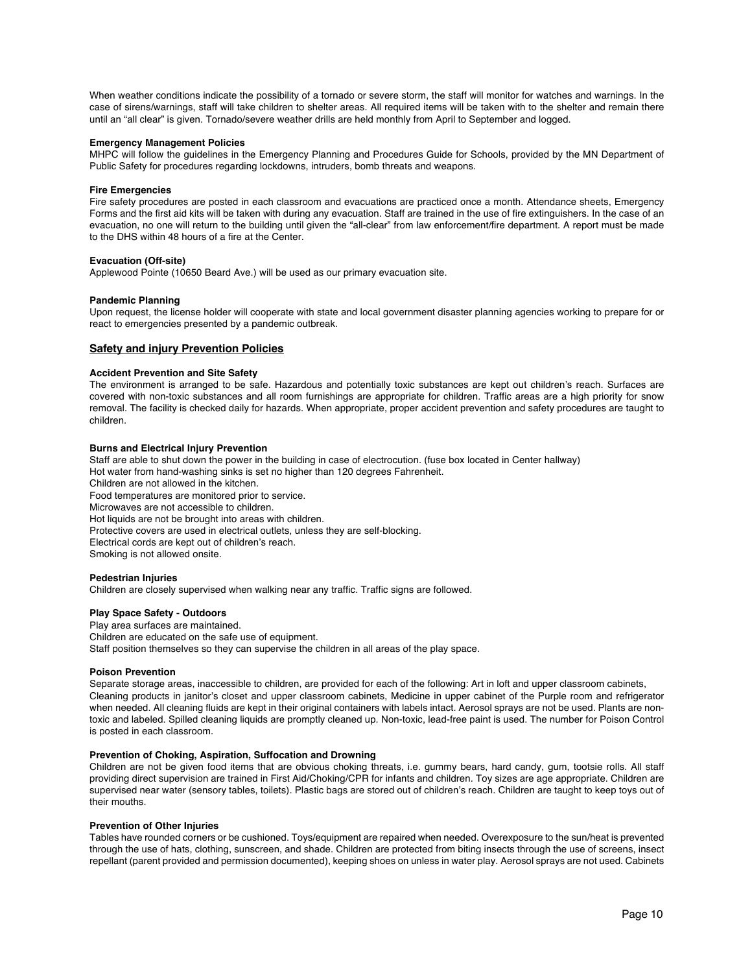When weather conditions indicate the possibility of a tornado or severe storm, the staff will monitor for watches and warnings. In the case of sirens/warnings, staff will take children to shelter areas. All required items will be taken with to the shelter and remain there until an "all clear" is given. Tornado/severe weather drills are held monthly from April to September and logged.

## **Emergency Management Policies**

MHPC will follow the guidelines in the Emergency Planning and Procedures Guide for Schools, provided by the MN Department of Public Safety for procedures regarding lockdowns, intruders, bomb threats and weapons.

# **Fire Emergencies**

Fire safety procedures are posted in each classroom and evacuations are practiced once a month. Attendance sheets, Emergency Forms and the first aid kits will be taken with during any evacuation. Staff are trained in the use of fire extinguishers. In the case of an evacuation, no one will return to the building until given the "all-clear" from law enforcement/fire department. A report must be made to the DHS within 48 hours of a fire at the Center.

# **Evacuation (Off-site)**

Applewood Pointe (10650 Beard Ave.) will be used as our primary evacuation site.

# **Pandemic Planning**

Upon request, the license holder will cooperate with state and local government disaster planning agencies working to prepare for or react to emergencies presented by a pandemic outbreak.

# **Safety and injury Prevention Policies**

# **Accident Prevention and Site Safety**

The environment is arranged to be safe. Hazardous and potentially toxic substances are kept out children's reach. Surfaces are covered with non-toxic substances and all room furnishings are appropriate for children. Traffic areas are a high priority for snow removal. The facility is checked daily for hazards. When appropriate, proper accident prevention and safety procedures are taught to children.

# **Burns and Electrical Injury Prevention**

Staff are able to shut down the power in the building in case of electrocution. (fuse box located in Center hallway) Hot water from hand-washing sinks is set no higher than 120 degrees Fahrenheit. Children are not allowed in the kitchen. Food temperatures are monitored prior to service. Microwaves are not accessible to children. Hot liquids are not be brought into areas with children. Protective covers are used in electrical outlets, unless they are self-blocking. Electrical cords are kept out of children's reach. Smoking is not allowed onsite.

## **Pedestrian Injuries**

Children are closely supervised when walking near any traffic. Traffic signs are followed.

#### **Play Space Safety - Outdoors**

Play area surfaces are maintained. Children are educated on the safe use of equipment. Staff position themselves so they can supervise the children in all areas of the play space.

#### **Poison Prevention**

Separate storage areas, inaccessible to children, are provided for each of the following: Art in loft and upper classroom cabinets, Cleaning products in janitor's closet and upper classroom cabinets, Medicine in upper cabinet of the Purple room and refrigerator when needed. All cleaning fluids are kept in their original containers with labels intact. Aerosol sprays are not be used. Plants are nontoxic and labeled. Spilled cleaning liquids are promptly cleaned up. Non-toxic, lead-free paint is used. The number for Poison Control is posted in each classroom.

## **Prevention of Choking, Aspiration, Suffocation and Drowning**

Children are not be given food items that are obvious choking threats, i.e. gummy bears, hard candy, gum, tootsie rolls. All staff providing direct supervision are trained in First Aid/Choking/CPR for infants and children. Toy sizes are age appropriate. Children are supervised near water (sensory tables, toilets). Plastic bags are stored out of children's reach. Children are taught to keep toys out of their mouths.

#### **Prevention of Other Injuries**

Tables have rounded corners or be cushioned. Toys/equipment are repaired when needed. Overexposure to the sun/heat is prevented through the use of hats, clothing, sunscreen, and shade. Children are protected from biting insects through the use of screens, insect repellant (parent provided and permission documented), keeping shoes on unless in water play. Aerosol sprays are not used. Cabinets